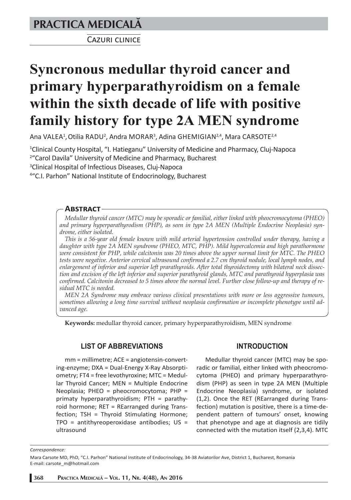## **PRACTICA MEDICALÅ**

CAZURI CLINICE

# **Syncronous medullar thyroid cancer and primary hyperparathyroidism on a female within the sixth decade of life with positive family history for type 2A MEN syndrome**

Ana VALEA<sup>1</sup>, Otilia RADU<sup>2</sup>, Andra MORAR<sup>3</sup>, Adina GHEMIGIAN<sup>2,4</sup>, Mara CARSOTE<sup>2,4</sup>

1 Clinical County Hospital, "I. Hatieganu" University of Medicine and Pharmacy, Cluj-Napoca 2 "Carol Davila" University of Medicine and Pharmacy, Bucharest 3 Clinical Hospital of Infectious Diseases, Cluj-Napoca

4 "C.I. Parhon" National Institute of Endocrinology, Bucharest

## **ABSTRACT-**

*Medullar thyroid cancer (MTC) may be sporadic or familial, either linked with pheocromocytoma (PHEO) and primary hyperparathyrodism (PHP), as seen in type 2A MEN (Multiple Endocrine Neoplasia) syndrome, either isolated.* 

*This is a 56-year old female known with mild arterial hypertension controlled under therapy, having a daughter with type 2A MEN syndrome (PHEO, MTC, PHP). Mild hypercalcemia and high parathormone were consistent for PHP, while calcitonin was 20 times above the upper normal limit for MTC. The PHEO tests were negative. Anterior cervical ultrasound confirmed a 2.7 cm thyroid nodule, local lymph nodes, and enlargement of inferior and superior left prarathyroids. After total thyroidectomy with bilateral neck dissection and excision of the left inferior and superior parathyroid glands, MTC and parathyroid hyperplasia was confirmed. Calcitonin decreased to 5 times above the normal level. Further close follow-up and therapy of residual MTC is needed.* 

*MEN 2A Syndrome may embrace various clinical presentations with more or less aggressive tumours, sometimes allowing a long time survival without neoplasia confirmation or incomplete phenotype until advanced age.*

**Keywords:** medullar thyroid cancer, primary hyperparathyroidism, MEN syndrome

## **LIST OF ABBREVIATIONS**

mm = millimetre; ACE = angiotensin-converting-enzyme; DXA = Dual-Energy X-Ray Absorptiometry; FT4 = free levothyroxine; MTC = Medullar Thyroid Cancer; MEN = Multiple Endocrine Neoplasia; PHEO = pheocromocytoma; PHP = primaty hyperparathyroidism; PTH = parathyroid hormone; RET = REarranged during Transfection; TSH = Thyroid Stimulating Hormone;  $TPO = antithyreoperoxidase antibodies; US =$ ultrasound

## **INTRODUCTION**

Medullar thyroid cancer (MTC) may be sporadic or familial, either linked with pheocromocytoma (PHEO) and primary hyperparathyrodism (PHP) as seen in type 2A MEN (Multiple Endocrine Neoplasia) syndrome, or isolated (1,2). Once the RET (REarranged during Transfection) mutation is positive, there is a time-dependent pattern of tumours' onset, knowing that phenotype and age at diagnosis are tidily connected with the mutation itself (2,3,4). MTC

#### *Correspondence:*

Mara Carsote MD, PhD, "C.I. Parhon" National Institute of Endocrinology, 34-38 Aviatorilor Ave, District 1, Bucharest, Romania E-mail: carsote\_m@hotmail.com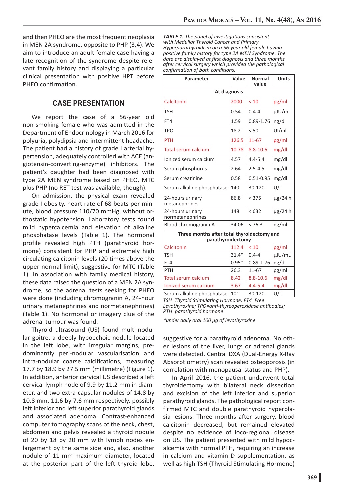and then PHEO are the most frequent neoplasia in MEN 2A syndrome, opposite to PHP (3,4). We aim to introduce an adult female case having a late recognition of the syndrome despite relevant family history and displaying a particular clinical presentation with positive HPT before PHEO confirmation.

## **CASE PRESENTATION**

We report the case of a 56-year old non-smoking female who was admitted in the Department of Endocrinology in March 2016 for polyuria, polydipsia and intermittent headache. The patient had a history of grade I arterial hypertension, adequately controlled with ACE (angiotensin-converting-enzyme) inhibitors. The patient's daughter had been diagnosed with type 2A MEN syndrome based on PHEO, MTC plus PHP (no RET test was available, though).

On admission, the physical exam revealed grade I obesity, heart rate of 68 beats per minute, blood pressure 110/70 mmHg, without orthostatic hypotension. Laboratory tests found mild hypercalcemia and elevation of alkaline phosphatase levels (Table 1). The hormonal profile revealed high PTH (parathyroid hormone) consistent for PHP and extremely high circulating calcitonin levels (20 times above the upper normal limit), suggestive for MTC (Table 1). In association with family medical history, these data raised the question of a MEN 2A syndrome, so the adrenal tests seeking for PHEO were done (including chromogranin A, 24-hour urinary metanephrines and normetanephrines) (Table 1). No hormonal or imagery clue of the adrenal tumour was found.

Thyroid ultrasound (US) found multi-nodular goitre, a deeply hypoechoic nodule located in the left lobe, with irregular margins, predominantly peri-nodular vascularisation and intra-nodular coarse calcifications, measuring 17.7 by 18.9 by 27.5 mm (millimetre) (Figure 1). In addition, anterior cervical US described a left cervical lymph node of 9.9 by 11.2 mm in diameter, and two extra-capsular nodules of 14.8 by 10.8 mm, 11.6 by 7.6 mm respectively, possibly left inferior and left superior parathyroid glands and associated adenoma. Contrast-enhanced computer tomography scans of the neck, chest, abdomen and pelvis revealed a thyroid nodule of 20 by 18 by 20 mm with lymph nodes enlargement by the same side and, also, another nodule of 11 mm maximum diameter, located at the posterior part of the left thyroid lobe,

*TABLE 1. The panel of investigations consistent with Medullar Thyroid Cancer and Primary Hyperparathyroidism on a 56-year old female having positive family history for type 2A MEN Syndrome. The data are displayed at first diagnosis and three months after cervical surgery which provided the pathological confirmation of both conditions.* 

| Parameter                                                       | Value   | <b>Normal</b><br>value | <b>Units</b> |
|-----------------------------------------------------------------|---------|------------------------|--------------|
| At diagnosis                                                    |         |                        |              |
| Calcitonin                                                      | 2000    | < 10                   | pg/ml        |
| <b>TSH</b>                                                      | 0.54    | $0.4 - 4$              | µIU/mL       |
| FT4                                                             | 1.59    | 0.89-1.76              | ng/dl        |
| TPO                                                             | 18.2    | < 50                   | UI/ml        |
| <b>PTH</b>                                                      | 126.5   | $11 - 67$              | pg/ml        |
| <b>Total serum calcium</b>                                      | 10.78   | $8.8 - 10.6$           | mg/dl        |
| Ionized serum calcium                                           | 4.57    | $4.4 - 5.4$            | mg/dl        |
| Serum phosphorus                                                | 2.64    | $2.5 - 4.5$            | mg/dl        |
| Serum creatinine                                                | 0.58    | $0.51 - 0.95$          | mg/dl        |
| Serum alkaline phosphatase                                      | 140     | 30-120                 | U/I          |
| 24-hours urinary<br>metanephrines                               | 86.8    | < 375                  | $\mu$ g/24 h |
| 24-hours urinary<br>normetanephrines                            | 148     | < 632                  | $\mu$ g/24 h |
| Blood chromogranin A                                            | 34.06   | < 76.3                 | ng/ml        |
| Three months after total thyroidectomy and<br>parathyroidectomy |         |                        |              |
| Calcitonin                                                      | 112.4   | ${}_{<}10$             | pg/ml        |
| <b>TSH</b>                                                      | $31.4*$ | $0.4 - 4$              | µIU/mL       |
| FT4                                                             | $0.95*$ | 0.89-1.76              | ng/dl        |
| PTH                                                             | 26.3    | 11-67                  | pg/ml        |
| <b>Total serum calcium</b>                                      | 8.42    | $8.8 - 10.6$           | mg/dl        |
| <b>Ionized serum calcium</b>                                    | 3.67    | $4.4 - 5.4$            | mg/dl        |
| Serum alkaline phosphatase                                      | 101     | 30-120                 | U/I          |

*TSH=Thyroid Stimulating Hormone; FT4=Free Levothyroxine; TPO=anti-thyreoperoxidase antibodies; PTH=parathyroid hormone*

*\*under daily oral 100 μg of levothyroxine*

suggestive for a parathyroid adenoma. No other lesions of the liver, lungs or adrenal glands were detected. Central DXA (Dual-Energy X-Ray Absorptiometry) scan revealed osteoporosis (in correlation with menopausal status and PHP).

In April 2016, the patient underwent total thyroidectomy with bilateral neck dissection and excision of the left inferior and superior parathyroid glands. The pathological report confirmed MTC and double parathyroid hyperplasia lesions. Three months after surgery, blood calcitonin decreased, but remained elevated despite no evidence of loco-regional disease on US. The patient presented with mild hypocalcemia with normal PTH, requiring an increase in calcium and vitamin D supplementation, as well as high TSH (Thyroid Stimulating Hormone)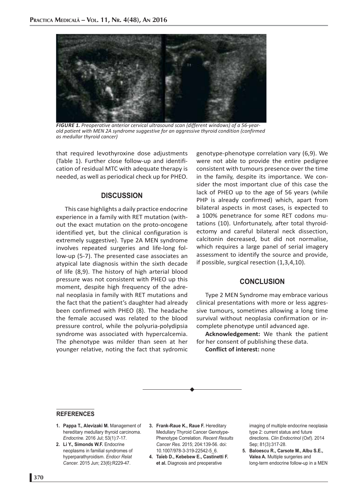

*FIGURE 1. Preoperative anterior cervical ultrasound scan (different windows) of a 56-yearold patient with MEN 2A syndrome suggestive for an aggressive thyroid condition (confirmed as medullar thyroid cancer)*

that required levothyroxine dose adjustments (Table 1). Further close follow-up and identification of residual MTC with adequate therapy is needed, as well as periodical check up for PHEO.

## **DISCUSSION**

This case highlights a daily practice endocrine experience in a family with RET mutation (without the exact mutation on the proto-oncogene identified yet, but the clinical configuration is extremely suggestive). Type 2A MEN syndrome involves repeated surgeries and life-long follow-up (5-7). The presented case associates an atypical late diagnosis within the sixth decade of life (8,9). The history of high arterial blood pressure was not consistent with PHEO up this moment, despite high frequency of the adrenal neoplasia in family with RET mutations and the fact that the patient's daughter had already been confirmed with PHEO (8). The headache the female accused was related to the blood pressure control, while the polyuria-polydipsia syndrome was associated with hypercalcemia. The phenotype was milder than seen at her younger relative, noting the fact that sydromic

genotype-phenotype correlation vary (6,9). We were not able to provide the entire pedigree consistent with tumours presence over the time in the family, despite its importance. We consider the most important clue of this case the lack of PHEO up to the age of 56 years (while PHP is already confirmed) which, apart from bilateral aspects in most cases, is expected to a 100% penetrance for some RET codons mutations (10). Unfortunately, after total thyroidectomy and careful bilateral neck dissection, calcitonin decreased, but did not normalise, which requires a large panel of serial imagery assessment to identify the source and provide, if possible, surgical resection (1,3,4,10).

## **CONCLUSION**

Type 2 MEN Syndrome may embrace various clinical presentations with more or less aggressive tumours, sometimes allowing a long time survival without neoplasia confirmation or incomplete phenotype until advanced age.

**Acknowledgement:** We thank the patient for her consent of publishing these data.

**Conflict of interest:** none

## **REFERENCES**

- **1. Pappa T., Alevizaki M.** Management of hereditary medullary thyroid carcinoma. *Endocrine.* 2016 Jul; 53(1):7-17.
- **2. Li Y., Simonds W.F.** Endocrine neoplasms in familial syndromes of hyperparathyroidism. *Endocr Relat Cancer.* 2015 Jun; 23(6):R229-47.
- **3. Frank-Raue K., Raue F.** Hereditary Medullary Thyroid Cancer Genotype-Phenotype Correlation. *Recent Results Cancer Res.* 2015; 204:139-56. doi: 10.1007/978-3-319-22542-5\_6.
- **4. Taïeb D., Kebebew E., Castinetti F. et al.** Diagnosis and preoperative

imaging of multiple endocrine neoplasia type 2: current status and future directions. *Clin Endocrinol* (Oxf). 2014 Sep; 81(3):317-28.

**5. Baloescu R., Carsote M., Albu S.E., Valea A.** Multiple surgeries and long-term endocrine follow-up in a MEN